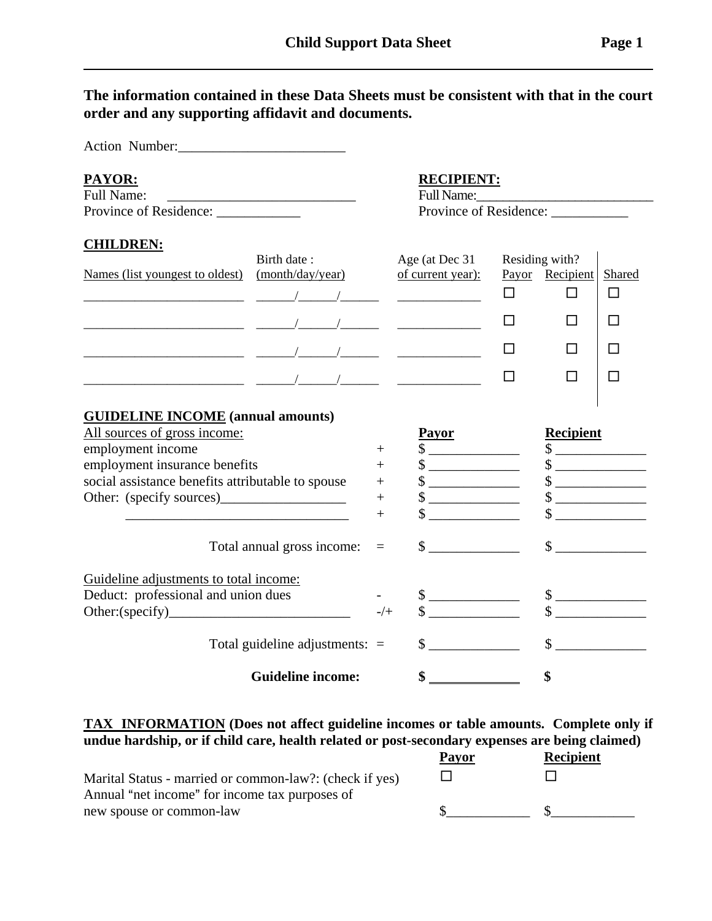**The information contained in these Data Sheets must be consistent with that in the court order and any supporting affidavit and documents.** 

Action Number: **PAYOR: RECIPIENT:** Full Name: The Full Name: The Full Name:  $\sim$ Province of Residence: <br> Province of Residence: **CHILDREN:** Birth date : Age (at Dec 31 Residing with? Names (list youngest to oldest) (month/day/year) of current year): Payor Recipient Shared \_\_\_\_\_\_\_\_\_\_\_\_\_\_\_\_\_\_\_\_\_\_\_\_\_ \_\_\_\_\_\_/\_\_\_\_\_\_/\_\_\_\_\_\_ \_\_\_\_\_\_\_\_\_\_\_\_\_ 9 9 9 \_\_\_\_\_\_\_\_\_\_\_\_\_\_\_\_\_\_\_\_\_\_\_\_\_ \_\_\_\_\_\_/\_\_\_\_\_\_/\_\_\_\_\_\_ \_\_\_\_\_\_\_\_\_\_\_\_\_ 9 9 9 \_\_\_\_\_\_\_\_\_\_\_\_\_\_\_\_\_\_\_\_\_\_\_\_\_ \_\_\_\_\_\_/\_\_\_\_\_\_/\_\_\_\_\_\_ \_\_\_\_\_\_\_\_\_\_\_\_\_ 9 9 9 \_\_\_\_\_\_\_\_\_\_\_\_\_\_\_\_\_\_\_\_\_\_\_\_\_ \_\_\_\_\_\_/\_\_\_\_\_\_/\_\_\_\_\_\_ \_\_\_\_\_\_\_\_\_\_\_\_\_ 9 9 9 **GUIDELINE INCOME (annual amounts)** All sources of gross income:<br>
employment income<br>  $+$   $\frac{Payor}{\$}$  Recipient<br>  $+$   $\frac{Q}{\$}$ employment income  $+$   $\frac{2000 \text{ m} \times 1000 \text{ m}}{3}$ employment insurance benefits  $+$   $\sqrt[3]{}$   $+$   $\sqrt[3]{}$   $\sqrt[3]{}$ social assistance benefits attributable to spouse  $\qquad$  +  $\qquad$  \$ \_\_\_\_\_\_\_\_\_\_ \$ \_\_\_\_\_\_\_\_\_\_\_\_\_\_\_\_\_\_\_\_\_ Other: (specify sources)\_\_\_\_\_\_\_\_\_\_\_\_\_\_\_\_\_\_\_ +  $\quad$  \$ \_\_\_\_\_\_\_\_\_ \$ \_\_\_\_\_\_\_\_\_\_\_\_\_\_\_\_ \_\_\_\_\_\_\_\_\_\_\_\_\_\_\_\_\_\_\_\_\_\_\_\_\_\_\_\_\_\_\_\_ + \$ \_\_\_\_\_\_\_\_\_\_\_\_\_ \$ \_\_\_\_\_\_\_\_\_\_\_\_\_ Total annual gross income: = \$ \_\_\_\_\_\_\_\_\_\_\_\_\_ \$ \_\_\_\_\_\_\_\_\_\_\_\_\_ Guideline adjustments to total income: Deduct: professional and union dues - \$ \_\_\_\_\_\_\_\_\_\_\_\_\_ \$ \_\_\_\_\_\_\_\_\_\_\_\_\_ Other:(specify)\_\_\_\_\_\_\_\_\_\_\_\_\_\_\_\_\_\_\_\_\_\_\_\_\_\_ -/+ \$ \_\_\_\_\_\_\_\_\_\_\_\_\_ \$ \_\_\_\_\_\_\_\_\_\_\_\_\_ Total guideline adjustments: = \$ \_\_\_\_\_\_\_\_\_\_\_\_\_ \$ \_\_\_\_\_\_\_\_\_\_\_\_\_ **Guideline income: \$ \$**

## **TAX INFORMATION (Does not affect guideline incomes or table amounts. Complete only if undue hardship, or if child care, health related or post-secondary expenses are being claimed)**

|                                                         | <b>Payor</b> | <b>Recipient</b> |
|---------------------------------------------------------|--------------|------------------|
| Marital Status - married or common-law?: (check if yes) |              |                  |
| Annual "net income" for income tax purposes of          |              |                  |
| new spouse or common-law                                |              |                  |